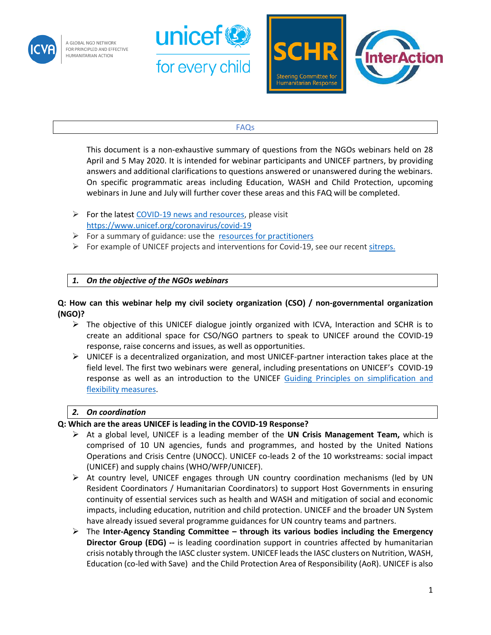

A GLOBAL NGO NETWORK FOR PRINCIPLED AND EFFECTIVE HUMANITARIAN ACTION





### FAQs

This document is a non-exhaustive summary of questions from the NGOs webinars held on 28 April and 5 May 2020. It is intended for webinar participants and UNICEF partners, by providing answers and additional clarifications to questions answered or unanswered during the webinars. On specific programmatic areas including Education, WASH and Child Protection, upcoming webinars in June and July will further cover these areas and this FAQ will be completed.

- ➢ For the latest [COVID-19 news and resources,](https://www.unicef.org/coronavirus/covid-19) please visit <https://www.unicef.org/coronavirus/covid-19>
- $\triangleright$  For a summary of guidance: use the [resources for practitioners](https://www.unicef.org/coronavirus/covid-19-resources-practitioners)
- $\triangleright$  For example of UNICEF projects and interventions for Covid-19, see our recent [sitreps.](https://www.unicef.org/appeals/Novel%20Coronavirus_sitreps.html)

## *1. On the objective of the NGOs webinars*

### **Q: How can this webinar help my civil society organization (CSO) / non-governmental organization (NGO)?**

- ➢ The objective of this UNICEF dialogue jointly organized with ICVA, Interaction and SCHR is to create an additional space for CSO/NGO partners to speak to UNICEF around the COVID-19 response, raise concerns and issues, as well as opportunities.
- $\triangleright$  UNICEF is a decentralized organization, and most UNICEF-partner interaction takes place at the field level. The first two webinars were general, including presentations on UNICEF's COVID-19 response as well as an introduction to the UNICEF [Guiding Principles on simplification and](https://www.unicef.org/documents/unicef-and-civil-society-organizations-covid-19-guiding-principles)  [flexibility measures.](https://www.unicef.org/documents/unicef-and-civil-society-organizations-covid-19-guiding-principles)

#### *2. On coordination*

#### **Q: Which are the areas UNICEF is leading in the COVID-19 Response?**

- ➢ At a global level, UNICEF is a leading member of the **UN Crisis Management Team,** which is comprised of 10 UN agencies, funds and programmes, and hosted by the United Nations Operations and Crisis Centre (UNOCC). UNICEF co-leads 2 of the 10 workstreams: social impact (UNICEF) and supply chains (WHO/WFP/UNICEF).
- $\triangleright$  At country level, UNICEF engages through UN country coordination mechanisms (led by UN Resident Coordinators / Humanitarian Coordinators) to support Host Governments in ensuring continuity of essential services such as health and WASH and mitigation of social and economic impacts, including education, nutrition and child protection. UNICEF and the broader UN System have already issued several programme guidances for UN country teams and partners.
- ➢ The **Inter-Agency Standing Committee – through its various bodies including the Emergency Director Group (EDG) --** is leading coordination support in countries affected by humanitarian crisis notably through the IASC cluster system. UNICEF leads the IASC clusters on Nutrition, WASH, Education (co-led with Save) and the Child Protection Area of Responsibility (AoR). UNICEF is also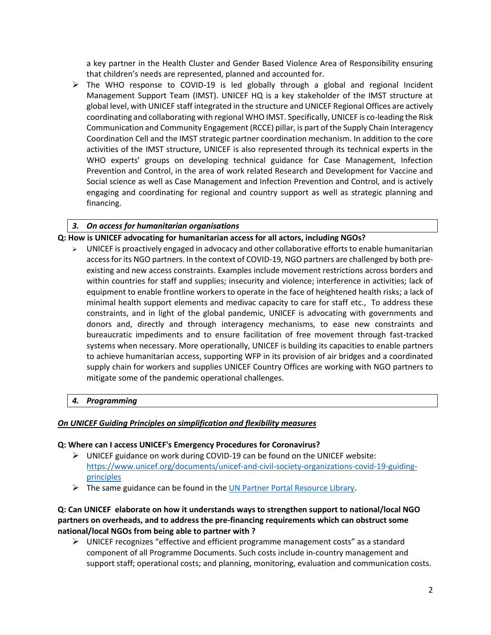a key partner in the Health Cluster and Gender Based Violence Area of Responsibility ensuring that children's needs are represented, planned and accounted for.

 $\triangleright$  The WHO response to COVID-19 is led globally through a global and regional Incident Management Support Team (IMST). UNICEF HQ is a key stakeholder of the IMST structure at global level, with UNICEF staff integrated in the structure and UNICEF Regional Offices are actively coordinating and collaborating with regional WHO IMST. Specifically, UNICEF is co-leading the Risk Communication and Community Engagement (RCCE) pillar, is part of the Supply Chain Interagency Coordination Cell and the IMST strategic partner coordination mechanism. In addition to the core activities of the IMST structure, UNICEF is also represented through its technical experts in the WHO experts' groups on developing technical guidance for Case Management, Infection Prevention and Control, in the area of work related Research and Development for Vaccine and Social science as well as Case Management and Infection Prevention and Control, and is actively engaging and coordinating for regional and country support as well as strategic planning and financing.

# *3. On access for humanitarian organisations*

### **Q: How is UNICEF advocating for humanitarian access for all actors, including NGOs?**

 $\triangleright$  UNICEF is proactively engaged in advocacy and other collaborative efforts to enable humanitarian access for its NGO partners. In the context of COVID-19, NGO partners are challenged by both preexisting and new access constraints. Examples include movement restrictions across borders and within countries for staff and supplies; insecurity and violence; interference in activities; lack of equipment to enable frontline workers to operate in the face of heightened health risks; a lack of minimal health support elements and medivac capacity to care for staff etc., To address these constraints, and in light of the global pandemic, UNICEF is advocating with governments and donors and, directly and through interagency mechanisms, to ease new constraints and bureaucratic impediments and to ensure facilitation of free movement through fast-tracked systems when necessary. More operationally, UNICEF is building its capacities to enable partners to achieve humanitarian access, supporting WFP in its provision of air bridges and a coordinated supply chain for workers and supplies UNICEF Country Offices are working with NGO partners to mitigate some of the pandemic operational challenges.

## *4. Programming*

#### *On UNICEF Guiding Principles on simplification and flexibility measures*

#### **Q: Where can I access UNICEF's Emergency Procedures for Coronavirus?**

- $\triangleright$  UNICEF guidance on work during COVID-19 can be found on the UNICEF website: [https://www.unicef.org/documents/unicef-and-civil-society-organizations-covid-19-guiding](https://www.unicef.org/documents/unicef-and-civil-society-organizations-covid-19-guiding-principles)[principles](https://www.unicef.org/documents/unicef-and-civil-society-organizations-covid-19-guiding-principles)
- $\triangleright$  The same guidance can be found in th[e UN Partner Portal Resource Library.](https://unpartnerportalcso.zendesk.com/hc/en-us/articles/360004492893-Additional-Resource-Documents)

## **Q: Can UNICEF elaborate on how it understands ways to strengthen support to national/local NGO partners on overheads, and to address the pre-financing requirements which can obstruct some national/local NGOs from being able to partner with ?**

 $\triangleright$  UNICEF recognizes "effective and efficient programme management costs" as a standard component of all Programme Documents. Such costs include in-country management and support staff; operational costs; and planning, monitoring, evaluation and communication costs.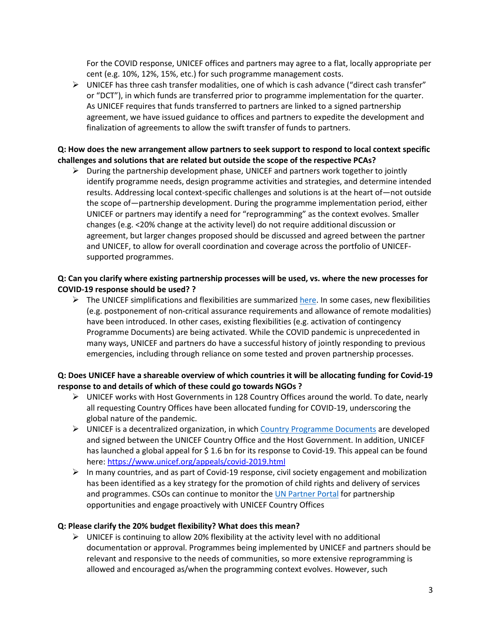For the COVID response, UNICEF offices and partners may agree to a flat, locally appropriate per cent (e.g. 10%, 12%, 15%, etc.) for such programme management costs.

 $\triangleright$  UNICEF has three cash transfer modalities, one of which is cash advance ("direct cash transfer" or "DCT"), in which funds are transferred prior to programme implementation for the quarter. As UNICEF requires that funds transferred to partners are linked to a signed partnership agreement, we have issued guidance to offices and partners to expedite the development and finalization of agreements to allow the swift transfer of funds to partners.

# **Q: How does the new arrangement allow partners to seek support to respond to local context specific challenges and solutions that are related but outside the scope of the respective PCAs?**

 $\triangleright$  During the partnership development phase, UNICEF and partners work together to jointly identify programme needs, design programme activities and strategies, and determine intended results. Addressing local context-specific challenges and solutions is at the heart of—not outside the scope of—partnership development. During the programme implementation period, either UNICEF or partners may identify a need for "reprogramming" as the context evolves. Smaller changes (e.g. <20% change at the activity level) do not require additional discussion or agreement, but larger changes proposed should be discussed and agreed between the partner and UNICEF, to allow for overall coordination and coverage across the portfolio of UNICEFsupported programmes.

### **Q: Can you clarify where existing partnership processes will be used, vs. where the new processes for COVID-19 response should be used? ?**

 $\triangleright$  The UNICEF simplifications and flexibilities are summarized [here.](https://www.unicef.org/media/67516/file/Partnership-Management-Between-UNICEF-and-Civil-Society-Organizations.pdf) In some cases, new flexibilities (e.g. postponement of non-critical assurance requirements and allowance of remote modalities) have been introduced. In other cases, existing flexibilities (e.g. activation of contingency Programme Documents) are being activated. While the COVID pandemic is unprecedented in many ways, UNICEF and partners do have a successful history of jointly responding to previous emergencies, including through reliance on some tested and proven partnership processes.

# **Q: Does UNICEF have a shareable overview of which countries it will be allocating funding for Covid-19 response to and details of which of these could go towards NGOs ?**

- ➢ UNICEF works with Host Governments in 128 Country Offices around the world. To date, nearly all requesting Country Offices have been allocated funding for COVID-19, underscoring the global nature of the pandemic.
- $\triangleright$  UNICEF is a decentralized organization, in whic[h Country Programme Documents](https://www.unicef.org/about/execboard/index_46487.html) are developed and signed between the UNICEF Country Office and the Host Government. In addition, UNICEF has launched a global appeal for \$ 1.6 bn for its response to Covid-19. This appeal can be found here:<https://www.unicef.org/appeals/covid-2019.html>
- ➢ In many countries, and as part of Covid-19 response, civil society engagement and mobilization has been identified as a key strategy for the promotion of child rights and delivery of services and programmes. CSOs can continue to monitor the [UN Partner Portal](http://www.unpartnerportal.org/) for partnership opportunities and engage proactively with UNICEF Country Offices

## **Q: Please clarify the 20% budget flexibility? What does this mean?**

 $\triangleright$  UNICEF is continuing to allow 20% flexibility at the activity level with no additional documentation or approval. Programmes being implemented by UNICEF and partners should be relevant and responsive to the needs of communities, so more extensive reprogramming is allowed and encouraged as/when the programming context evolves. However, such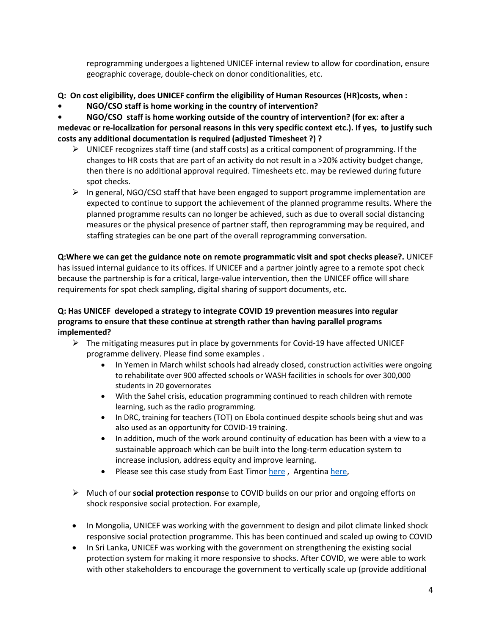reprogramming undergoes a lightened UNICEF internal review to allow for coordination, ensure geographic coverage, double-check on donor conditionalities, etc.

- **Q: On cost eligibility, does UNICEF confirm the eligibility of Human Resources (HR)costs, when :**
- **• NGO/CSO staff is home working in the country of intervention?**

**• NGO/CSO staff is home working outside of the country of intervention? (for ex: after a medevac or re-localization for personal reasons in this very specific context etc.). If yes, to justify such costs any additional documentation is required (adjusted Timesheet ?) ?**

- $\triangleright$  UNICEF recognizes staff time (and staff costs) as a critical component of programming. If the changes to HR costs that are part of an activity do not result in a >20% activity budget change, then there is no additional approval required. Timesheets etc. may be reviewed during future spot checks.
- $\triangleright$  In general, NGO/CSO staff that have been engaged to support programme implementation are expected to continue to support the achievement of the planned programme results. Where the planned programme results can no longer be achieved, such as due to overall social distancing measures or the physical presence of partner staff, then reprogramming may be required, and staffing strategies can be one part of the overall reprogramming conversation.

**Q:Where we can get the guidance note on remote programmatic visit and spot checks please?.** UNICEF has issued internal guidance to its offices. If UNICEF and a partner jointly agree to a remote spot check because the partnership is for a critical, large-value intervention, then the UNICEF office will share requirements for spot check sampling, digital sharing of support documents, etc.

# **Q: Has UNICEF developed a strategy to integrate COVID 19 prevention measures into regular programs to ensure that these continue at strength rather than having parallel programs implemented?**

- $\triangleright$  The mitigating measures put in place by governments for Covid-19 have affected UNICEF programme delivery. Please find some examples .
	- In Yemen in March whilst schools had already closed, construction activities were ongoing to rehabilitate over 900 affected schools or WASH facilities in schools for over 300,000 students in 20 governorates
	- With the Sahel crisis, education programming continued to reach children with remote learning, such as the radio programming.
	- In DRC, training for teachers (TOT) on Ebola continued despite schools being shut and was also used as an opportunity for COVID-19 training.
	- In addition, much of the work around continuity of education has been with a view to a sustainable approach which can be built into the long-term education system to increase inclusion, address equity and improve learning.
	- Please see this case study from East Timor [here](https://unicef.sharepoint.com/sites/EMOPS-2019nCoV/DocumentLibrary1/Forms/AllItems.aspx?id=%2Fsites%2FEMOPS%2D2019nCoV%2FDocumentLibrary1%2FEducation%20Toolkit%20%2D%20COVID%2D19%2FData%2C%20Evidence%2C%20and%20Best%20Practice%2FCase%20study%20%2D%20Timor%20Leste%20%284%20May%202020%29%2Epdf&parent=%2Fsites%2FEMOPS%2D2019nCoV%2FDocumentLibrary1%2FEducation%20Toolkit%20%2D%20COVID%2D19%2FData%2C%20Evidence%2C%20and%20Best%20Practice), Argentina [here,](https://unicef.sharepoint.com/sites/EMOPS-2019nCoV/DocumentLibrary1/Forms/AllItems.aspx?id=%2Fsites%2FEMOPS%2D2019nCoV%2FDocumentLibrary1%2FEducation%20Toolkit%20%2D%20COVID%2D19%2FData%2C%20Evidence%2C%20and%20Best%20Practice%2FCase%20study%20%2D%20Argentina%20%2811%20May%202020%29%2Epdf&parent=%2Fsites%2FEMOPS%2D2019nCoV%2FDocumentLibrary1%2FEducation%20Toolkit%20%2D%20COVID%2D19%2FData%2C%20Evidence%2C%20and%20Best%20Practice)
- ➢ Much of our **social protection respon**se to COVID builds on our prior and ongoing efforts on shock responsive social protection. For example,
- In Mongolia, UNICEF was working with the government to design and pilot climate linked shock responsive social protection programme. This has been continued and scaled up owing to COVID
- In Sri Lanka, UNICEF was working with the government on strengthening the existing social protection system for making it more responsive to shocks. After COVID, we were able to work with other stakeholders to encourage the government to vertically scale up (provide additional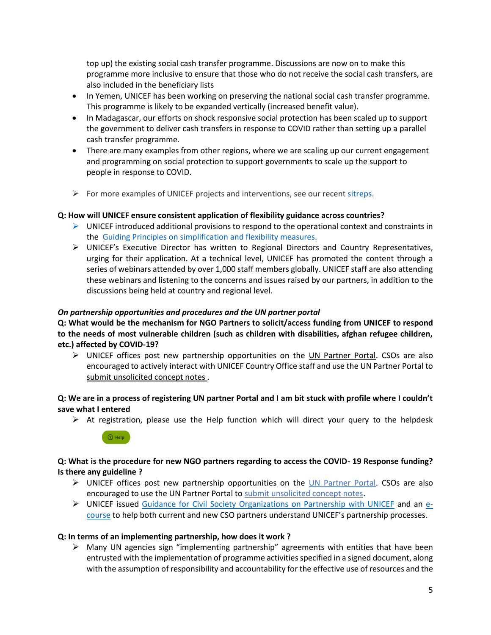top up) the existing social cash transfer programme. Discussions are now on to make this programme more inclusive to ensure that those who do not receive the social cash transfers, are also included in the beneficiary lists

- In Yemen, UNICEF has been working on preserving the national social cash transfer programme. This programme is likely to be expanded vertically (increased benefit value).
- In Madagascar, our efforts on shock responsive social protection has been scaled up to support the government to deliver cash transfers in response to COVID rather than setting up a parallel cash transfer programme.
- There are many examples from other regions, where we are scaling up our current engagement and programming on social protection to support governments to scale up the support to people in response to COVID.
- $\triangleright$  For more examples of UNICEF projects and interventions, see our recen[t sitreps.](https://www.unicef.org/appeals/Novel%20Coronavirus_sitreps.html)

### **Q: How will UNICEF ensure consistent application of flexibility guidance across countries?**

- $\triangleright$  UNICEF introduced additional provisions to respond to the operational context and constraints in the [Guiding Principles on simplification and flexibility measures.](https://www.unicef.org/documents/unicef-and-civil-society-organizations-covid-19-guiding-principles)
- ➢ UNICEF's Executive Director has written to Regional Directors and Country Representatives, urging for their application. At a technical level, UNICEF has promoted the content through a series of webinars attended by over 1,000 staff members globally. UNICEF staff are also attending these webinars and listening to the concerns and issues raised by our partners, in addition to the discussions being held at country and regional level.

#### *On partnership opportunities and procedures and the UN partner portal*

**Q: What would be the mechanism for NGO Partners to solicit/access funding from UNICEF to respond to the needs of most vulnerable children (such as children with disabilities, afghan refugee children, etc.) affected by COVID-19?**

 $\triangleright$  UNICEF offices post new partnership opportunities on the [UN Partner Portal.](http://www.unpartnerportal.org/) CSOs are also encouraged to actively interact with UNICEF Country Office staff and use the UN Partner Portal to [submit unsolicited concept notes](https://unpartnerportalcso.zendesk.com/hc/en-us/articles/360004140953-Submit-Unsolicited-Concept-Note) .

### **Q: We are in a process of registering UN partner Portal and I am bit stuck with profile where I couldn't save what I entered**

 $\triangleright$  At registration, please use the Help function which will direct your query to the helpdesk



## **Q: What is the procedure for new NGO partners regarding to access the COVID- 19 Response funding? Is there any guideline ?**

- ➢ UNICEF offices post new partnership opportunities on the [UN Partner Portal.](http://www.unpartnerportal.org/) CSOs are also encouraged to use the UN Partner Portal to [submit unsolicited concept notes.](https://unpartnerportalcso.zendesk.com/hc/en-us/articles/360004140953-Submit-Unsolicited-Concept-Note)
- ➢ UNICEF issued [Guidance for Civil Society Organizations on Partnership with UNICEF](https://www.unicef.org/about/partnerships/files/Guidance-for-CSOs-on-Partnership-with-UNICEF.pdf) and an [e](https://agora.unicef.org/course/info.php?id=2392)[course](https://agora.unicef.org/course/info.php?id=2392) to help both current and new CSO partners understand UNICEF's partnership processes.

#### **Q: In terms of an implementing partnership, how does it work ?**

 $\triangleright$  Many UN agencies sign "implementing partnership" agreements with entities that have been entrusted with the implementation of programme activities specified in a signed document, along with the assumption of responsibility and accountability for the effective use of resources and the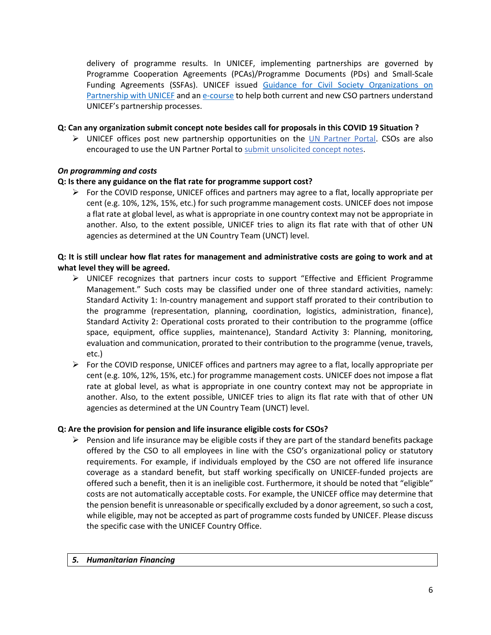delivery of programme results. In UNICEF, implementing partnerships are governed by Programme Cooperation Agreements (PCAs)/Programme Documents (PDs) and Small-Scale Funding Agreements (SSFAs). UNICEF issued [Guidance for Civil Society Organizations on](https://www.unicef.org/about/partnerships/files/Guidance-for-CSOs-on-Partnership-with-UNICEF.pdf)  [Partnership with UNICEF](https://www.unicef.org/about/partnerships/files/Guidance-for-CSOs-on-Partnership-with-UNICEF.pdf) and an [e-course](https://agora.unicef.org/course/info.php?id=2392) to help both current and new CSO partners understand UNICEF's partnership processes.

### **Q: Can any organization submit concept note besides call for proposals in this COVID 19 Situation ?**

➢ UNICEF offices post new partnership opportunities on the [UN Partner Portal.](http://www.unpartnerportal.org/) CSOs are also encouraged to use the UN Partner Portal to [submit unsolicited concept notes.](https://unpartnerportalcso.zendesk.com/hc/en-us/articles/360004140953-Submit-Unsolicited-Concept-Note)

## *On programming and costs*

# **Q: Is there any guidance on the flat rate for programme support cost?**

 $\triangleright$  For the COVID response, UNICEF offices and partners may agree to a flat, locally appropriate per cent (e.g. 10%, 12%, 15%, etc.) for such programme management costs. UNICEF does not impose a flat rate at global level, as what is appropriate in one country context may not be appropriate in another. Also, to the extent possible, UNICEF tries to align its flat rate with that of other UN agencies as determined at the UN Country Team (UNCT) level.

# **Q: It is still unclear how flat rates for management and administrative costs are going to work and at what level they will be agreed.**

- ➢ UNICEF recognizes that partners incur costs to support "Effective and Efficient Programme Management." Such costs may be classified under one of three standard activities, namely: Standard Activity 1: In-country management and support staff prorated to their contribution to the programme (representation, planning, coordination, logistics, administration, finance), Standard Activity 2: Operational costs prorated to their contribution to the programme (office space, equipment, office supplies, maintenance), Standard Activity 3: Planning, monitoring, evaluation and communication, prorated to their contribution to the programme (venue, travels, etc.)
- $\triangleright$  For the COVID response, UNICEF offices and partners may agree to a flat, locally appropriate per cent (e.g. 10%, 12%, 15%, etc.) for programme management costs. UNICEF does not impose a flat rate at global level, as what is appropriate in one country context may not be appropriate in another. Also, to the extent possible, UNICEF tries to align its flat rate with that of other UN agencies as determined at the UN Country Team (UNCT) level.

## **Q: Are the provision for pension and life insurance eligible costs for CSOs?**

 $\triangleright$  Pension and life insurance may be eligible costs if they are part of the standard benefits package offered by the CSO to all employees in line with the CSO's organizational policy or statutory requirements. For example, if individuals employed by the CSO are not offered life insurance coverage as a standard benefit, but staff working specifically on UNICEF-funded projects are offered such a benefit, then it is an ineligible cost. Furthermore, it should be noted that "eligible" costs are not automatically acceptable costs. For example, the UNICEF office may determine that the pension benefit is unreasonable or specifically excluded by a donor agreement, so such a cost, while eligible, may not be accepted as part of programme costs funded by UNICEF. Please discuss the specific case with the UNICEF Country Office.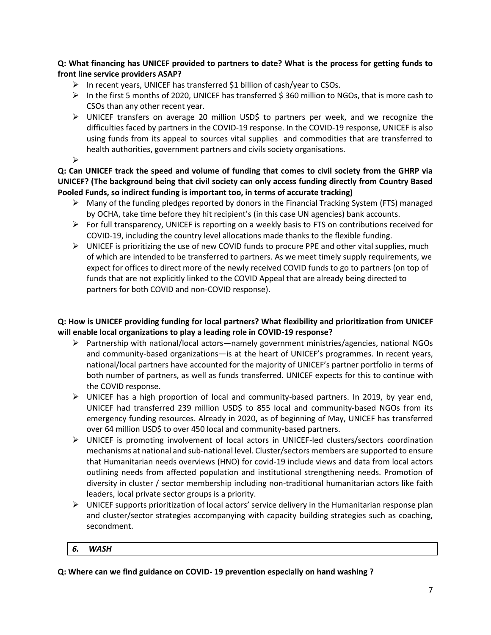## **Q: What financing has UNICEF provided to partners to date? What is the process for getting funds to front line service providers ASAP?**

- ➢ In recent years, UNICEF has transferred \$1 billion of cash/year to CSOs.
- $\triangleright$  In the first 5 months of 2020, UNICEF has transferred \$ 360 million to NGOs, that is more cash to CSOs than any other recent year.
- ➢ UNICEF transfers on average 20 million USD\$ to partners per week, and we recognize the difficulties faced by partners in the COVID-19 response. In the COVID-19 response, UNICEF is also using funds from its appeal to sources vital supplies and commodities that are transferred to health authorities, government partners and civils society organisations.
- ➢

**Q: Can UNICEF track the speed and volume of funding that comes to civil society from the GHRP via UNICEF? (The background being that civil society can only access funding directly from Country Based Pooled Funds, so indirect funding is important too, in terms of accurate tracking)**

- $\triangleright$  Many of the funding pledges reported by donors in the Financial Tracking System (FTS) managed by OCHA, take time before they hit recipient's (in this case UN agencies) bank accounts.
- ➢ For full transparency, UNICEF is reporting on a weekly basis to FTS on contributions received for COVID-19, including the country level allocations made thanks to the flexible funding.
- $\triangleright$  UNICEF is prioritizing the use of new COVID funds to procure PPE and other vital supplies, much of which are intended to be transferred to partners. As we meet timely supply requirements, we expect for offices to direct more of the newly received COVID funds to go to partners (on top of funds that are not explicitly linked to the COVID Appeal that are already being directed to partners for both COVID and non-COVID response).

# **Q: How is UNICEF providing funding for local partners? What flexibility and prioritization from UNICEF will enable local organizations to play a leading role in COVID-19 response?**

- ➢ Partnership with national/local actors—namely government ministries/agencies, national NGOs and community-based organizations—is at the heart of UNICEF's programmes. In recent years, national/local partners have accounted for the majority of UNICEF's partner portfolio in terms of both number of partners, as well as funds transferred. UNICEF expects for this to continue with the COVID response.
- ➢ UNICEF has a high proportion of local and community-based partners. In 2019, by year end, UNICEF had transferred 239 million USD\$ to 855 local and community-based NGOs from its emergency funding resources. Already in 2020, as of beginning of May, UNICEF has transferred over 64 million USD\$ to over 450 local and community-based partners.
- ➢ UNICEF is promoting involvement of local actors in UNICEF-led clusters/sectors coordination mechanisms at national and sub-national level. Cluster/sectors members are supported to ensure that Humanitarian needs overviews (HNO) for covid-19 include views and data from local actors outlining needs from affected population and institutional strengthening needs. Promotion of diversity in cluster / sector membership including non-traditional humanitarian actors like faith leaders, local private sector groups is a priority.
- $\triangleright$  UNICEF supports prioritization of local actors' service delivery in the Humanitarian response plan and cluster/sector strategies accompanying with capacity building strategies such as coaching, secondment.

## *6. WASH*

**Q: Where can we find guidance on COVID- 19 prevention especially on hand washing ?**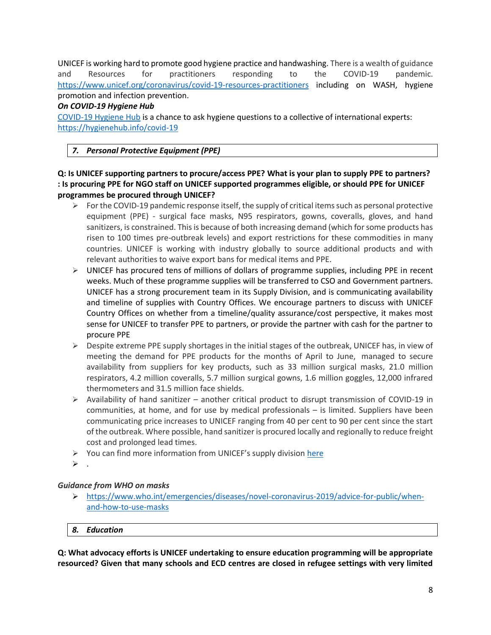UNICEF is working hard to promote good hygiene practice and handwashing. There is a wealth of guidance and Resources for practitioners responding to the COVID-19 pandemic. <https://www.unicef.org/coronavirus/covid-19-resources-practitioners> including on WASH, hygiene promotion and infection prevention.

## *On COVID-19 Hygiene Hub*

[COVID-19 Hygiene Hub](https://hygienehub.info/covid-19) is a chance to ask hygiene questions to a collective of international experts: <https://hygienehub.info/covid-19>

# *7. Personal Protective Equipment (PPE)*

**Q: Is UNICEF supporting partners to procure/access PPE? What is your plan to supply PPE to partners? : Is procuring PPE for NGO staff on UNICEF supported programmes eligible, or should PPE for UNICEF programmes be procured through UNICEF?**

- $\triangleright$  For the COVID-19 pandemic response itself, the supply of critical items such as personal protective equipment (PPE) - surgical face masks, N95 respirators, gowns, coveralls, gloves, and hand sanitizers, is constrained. This is because of both increasing demand (which for some products has risen to 100 times pre-outbreak levels) and export restrictions for these commodities in many countries. UNICEF is working with industry globally to source additional products and with relevant authorities to waive export bans for medical items and PPE.
- $\triangleright$  UNICEF has procured tens of millions of dollars of programme supplies, including PPE in recent weeks. Much of these programme supplies will be transferred to CSO and Government partners. UNICEF has a strong procurement team in its Supply Division, and is communicating availability and timeline of supplies with Country Offices. We encourage partners to discuss with UNICEF Country Offices on whether from a timeline/quality assurance/cost perspective, it makes most sense for UNICEF to transfer PPE to partners, or provide the partner with cash for the partner to procure PPE
- $\triangleright$  Despite extreme PPE supply shortages in the initial stages of the outbreak, UNICEF has, in view of meeting the demand for PPE products for the months of April to June, managed to secure availability from suppliers for key products, such as 33 million surgical masks, 21.0 million respirators, 4.2 million coveralls, 5.7 million surgical gowns, 1.6 million goggles, 12,000 infrared thermometers and 31.5 million face shields.
- $\triangleright$  Availability of hand sanitizer another critical product to disrupt transmission of COVID-19 in communities, at home, and for use by medical professionals – is limited. Suppliers have been communicating price increases to UNICEF ranging from 40 per cent to 90 per cent since the start of the outbreak. Where possible, hand sanitizer is procured locally and regionally to reduce freight cost and prolonged lead times.
- $\triangleright$  You can find more information from UNICEF's supply division [here](https://www.unicef.org/supply/coronavirus-disease-covid-19)
- $\triangleright$  .

# *Guidance from WHO on masks*

➢ [https://www.who.int/emergencies/diseases/novel-coronavirus-2019/advice-for-public/when](https://www.who.int/emergencies/diseases/novel-coronavirus-2019/advice-for-public/when-and-how-to-use-masks)[and-how-to-use-masks](https://www.who.int/emergencies/diseases/novel-coronavirus-2019/advice-for-public/when-and-how-to-use-masks)

## *8. Education*

**Q: What advocacy efforts is UNICEF undertaking to ensure education programming will be appropriate resourced? Given that many schools and ECD centres are closed in refugee settings with very limited**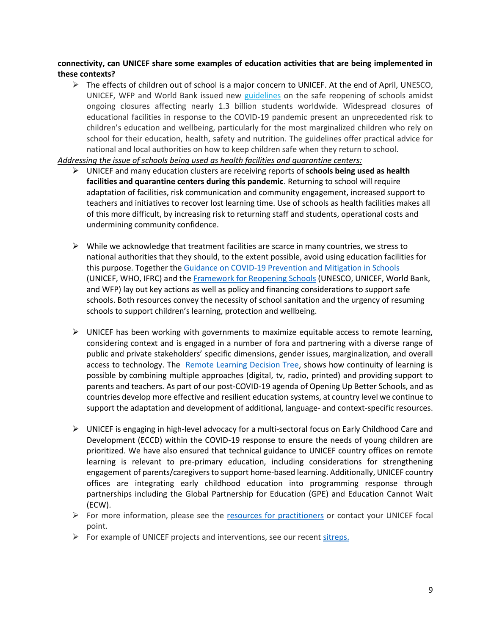### **connectivity, can UNICEF share some examples of education activities that are being implemented in these contexts?**

 $\triangleright$  The effects of children out of school is a major concern to UNICEF. At the end of April, UNESCO, UNICEF, WFP and World Bank issued new [guidelines](https://www.unicef.org/documents/framework-reopening-schools) on the safe reopening of schools amidst ongoing closures affecting nearly 1.3 billion students worldwide. Widespread closures of educational facilities in response to the COVID-19 pandemic present an unprecedented risk to children's education and wellbeing, particularly for the most marginalized children who rely on school for their education, health, safety and nutrition. The guidelines offer practical advice for national and local authorities on how to keep children safe when they return to school.

*Addressing the issue of schools being used as health facilities and quarantine centers:* 

- ➢ UNICEF and many education clusters are receiving reports of **schools being used as health facilities and quarantine centers during this pandemic**. Returning to school will require adaptation of facilities, risk communication and community engagement, increased support to teachers and initiatives to recover lost learning time. Use of schools as health facilities makes all of this more difficult, by increasing risk to returning staff and students, operational costs and undermining community confidence.
- $\triangleright$  While we acknowledge that treatment facilities are scarce in many countries, we stress to national authorities that they should, to the extent possible, avoid using education facilities for this purpose. Together the [Guidance on COVID-19 Prevention and Mitigation in Schools](https://www.unicef.org/reports/key-messages-and-actions-coronavirus-disease-covid-19-prevention-and-control-schools) (UNICEF, WHO, IFRC) and the [Framework for Reopening Schools](https://www.unicef.org/documents/framework-reopening-schools) (UNESCO, UNICEF, World Bank, and WFP) lay out key actions as well as policy and financing considerations to support safe schools. Both resources convey the necessity of school sanitation and the urgency of resuming schools to support children's learning, protection and wellbeing.
- $\triangleright$  UNICEF has been working with governments to maximize equitable access to remote learning, considering context and is engaged in a number of fora and partnering with a diverse range of public and private stakeholders' specific dimensions, gender issues, marginalization, and overall access to technology. The [Remote Learning Decision Tree,](https://inee.org/resources/remote-learning-covid-19-response-decision-tree) shows how continuity of learning is possible by combining multiple approaches (digital, tv, radio, printed) and providing support to parents and teachers. As part of our post-COVID-19 agenda of Opening Up Better Schools, and as countries develop more effective and resilient education systems, at country level we continue to support the adaptation and development of additional, language- and context-specific resources.
- ➢ UNICEF is engaging in high-level advocacy for a multi-sectoral focus on Early Childhood Care and Development (ECCD) within the COVID-19 response to ensure the needs of young children are prioritized. We have also ensured that technical guidance to UNICEF country offices on remote learning is relevant to pre-primary education, including considerations for strengthening engagement of parents/caregivers to support home-based learning. Additionally, UNICEF country offices are integrating early childhood education into programming response through partnerships including the Global Partnership for Education (GPE) and Education Cannot Wait (ECW).
- $\triangleright$  For more information, please see the [resources for practitioners](https://www.unicef.org/coronavirus/covid-19-resources-practitioners) or contact your UNICEF focal point.
- ➢ For example of UNICEF projects and interventions, see our recent [sitreps.](https://www.unicef.org/appeals/Novel%20Coronavirus_sitreps.html)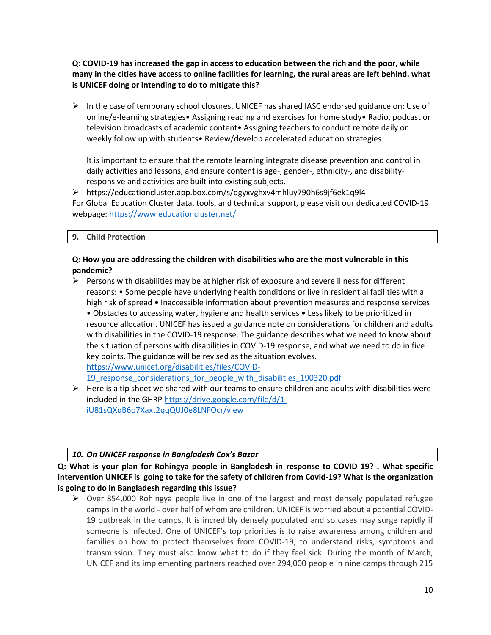**Q: COVID-19 has increased the gap in access to education between the rich and the poor, while many in the cities have access to online facilities for learning, the rural areas are left behind. what is UNICEF doing or intending to do to mitigate this?** 

 $\triangleright$  In the case of temporary school closures, UNICEF has shared IASC endorsed guidance on: Use of online/e-learning strategies• Assigning reading and exercises for home study• Radio, podcast or television broadcasts of academic content• Assigning teachers to conduct remote daily or weekly follow up with students• Review/develop accelerated education strategies

It is important to ensure that the remote learning integrate disease prevention and control in daily activities and lessons, and ensure content is age-, gender-, ethnicity-, and disabilityresponsive and activities are built into existing subjects.

<span id="page-9-0"></span>➢ https://educationcluster.app.box.com/s/qgyxvghxv4mhluy790h6s9jf6ek1q9l4 For Global Education Cluster data, tools, and technical support, please visit our dedicated COVID-19 webpage: [https://www.educationcluster.net/](#page-9-0)

**9. Child Protection** 

# **Q: How you are addressing the children with disabilities who are the most vulnerable in this pandemic?**

 $\triangleright$  Persons with disabilities may be at higher risk of exposure and severe illness for different reasons: • Some people have underlying health conditions or live in residential facilities with a high risk of spread • Inaccessible information about prevention measures and response services • Obstacles to accessing water, hygiene and health services • Less likely to be prioritized in resource allocation. UNICEF has issued a guidance note on considerations for children and adults with disabilities in the COVID-19 response. The guidance describes what we need to know about the situation of persons with disabilities in COVID-19 response, and what we need to do in five key points. The guidance will be revised as the situation evolves. [https://www.unicef.org/disabilities/files/COVID-](https://www.unicef.org/disabilities/files/COVID-19_response_considerations_for_people_with_disabilities_190320.pdf)[19\\_response\\_considerations\\_for\\_people\\_with\\_disabilities\\_190320.pdf](https://www.unicef.org/disabilities/files/COVID-19_response_considerations_for_people_with_disabilities_190320.pdf)

 $\triangleright$  Here is a tip sheet we shared with our teams to ensure children and adults with disabilities were included in the GHRP [https://drive.google.com/file/d/1](https://drive.google.com/file/d/1-iU81sQXqB6o7Xaxt2qqQUJ0e8LNFOcr/view) [iU81sQXqB6o7Xaxt2qqQUJ0e8LNFOcr/view](https://drive.google.com/file/d/1-iU81sQXqB6o7Xaxt2qqQUJ0e8LNFOcr/view)

## *10. On UNICEF response in Bangladesh Cox's Bazar*

**Q: What is your plan for Rohingya people in Bangladesh in response to COVID 19? . What specific intervention UNICEF is going to take for the safety of children from Covid-19? What is the organization is going to do in Bangladesh regarding this issue?**

➢ Over 854,000 Rohingya people live in one of the largest and most densely populated refugee camps in the world - over half of whom are children. UNICEF is worried about a potential COVID-19 outbreak in the camps. It is incredibly densely populated and so cases may surge rapidly if someone is infected. One of UNICEF's top priorities is to raise awareness among children and families on how to protect themselves from COVID-19, to understand risks, symptoms and transmission. They must also know what to do if they feel sick. During the month of March, UNICEF and its implementing partners reached over 294,000 people in nine camps through 215